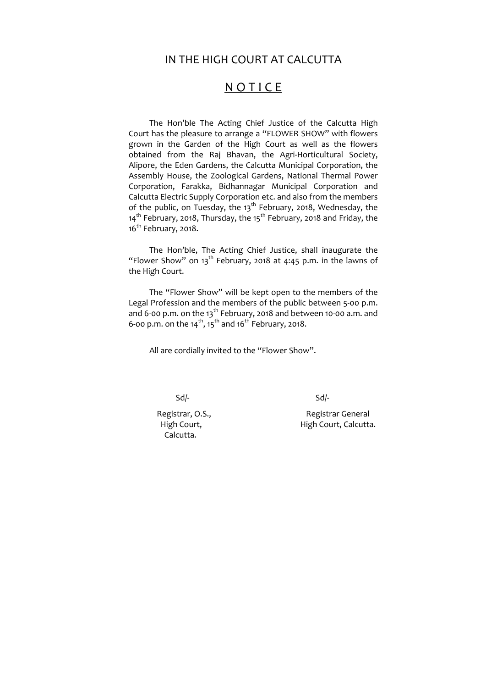# IN THE HIGH COURT AT CALCUTTA

# **NOTICE**

The Hon'ble The Acting Chief Justice of the Calcutta High Court has the pleasure to arrange a "FLOWER SHOW" with flowers grown in the Garden of the High Court as well as the flowers obtained from the Raj Bhavan, the Agri‐Horticultural Society, Alipore, the Eden Gardens, the Calcutta Municipal Corporation, the Assembly House, the Zoological Gardens, National Thermal Power Corporation, Farakka, Bidhannagar Municipal Corporation and Calcutta Electric Supply Corporation etc. and also from the members of the public, on Tuesday, the  $13<sup>th</sup>$  February, 2018, Wednesday, the 14<sup>th</sup> February, 2018, Thursday, the 15<sup>th</sup> February, 2018 and Friday, the 16<sup>th</sup> February, 2018.

The "Flower Show" will be kept open to the members of the Legal Profession and the members of the public between 5‐00 p.m. and 6-00 p.m. on the  $13<sup>th</sup>$  February, 2018 and between 10-00 a.m. and 6-00 p.m. on the 14<sup>th</sup>, 15<sup>th</sup> and 16<sup>th</sup> February, 2018.

The Hon'ble, The Acting Chief Justice, shall inaugurate the "Flower Show" on 13<sup>th</sup> February, 2018 at 4:45 p.m. in the lawns of the High Court.

All are cordially invited to the "Flower Show".

 $Sd$ -

Calcutta.

Registrar, O.S., **Registrar General** High Court, **High Court, Calcutta.**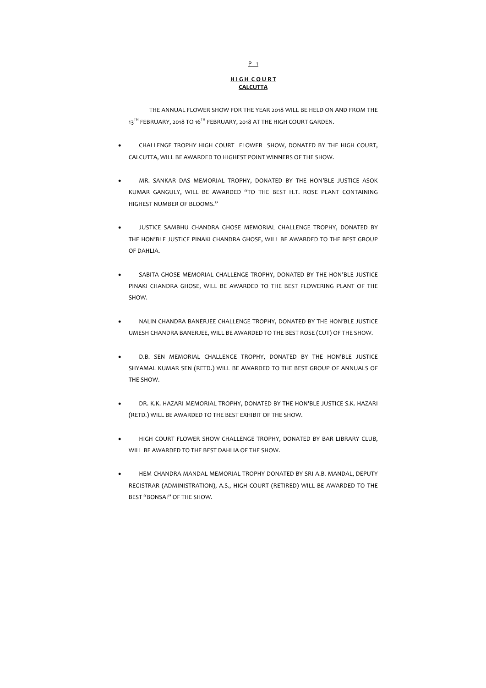THE ANNUAL FLOWER SHOW FOR THE YEAR 2018 WILL BE HELD ON AND FROM THE 13<sup>TH</sup> FEBRUARY, 2018 TO 16<sup>TH</sup> FEBRUARY, 2018 AT THE HIGH COURT GARDEN.

# $P - 1$

## **H I G H C O U R T CALCUTTA**

- CHALLENGE TROPHY HIGH COURT FLOWER SHOW, DONATED BY THE HIGH COURT, CALCUTTA, WILL BE AWARDED TO HIGHEST POINT WINNERS OF THE SHOW.
- MR. SANKAR DAS MEMORIAL TROPHY, DONATED BY THE HON'BLE JUSTICE ASOK KUMAR GANGULY, WILL BE AWARDED "TO THE BEST H.T. ROSE PLANT CONTAINING HIGHEST NUMBER OF BLOOMS."
- JUSTICE SAMBHU CHANDRA GHOSE MEMORIAL CHALLENGE TROPHY, DONATED BY THE HON'BLE JUSTICE PINAKI CHANDRA GHOSE, WILL BE AWARDED TO THE BEST GROUP OF DAHLIA.
- SABITA GHOSE MEMORIAL CHALLENGE TROPHY, DONATED BY THE HON'BLE JUSTICE PINAKI CHANDRA GHOSE, WILL BE AWARDED TO THE BEST FLOWERING PLANT OF THE SHOW.
- NALIN CHANDRA BANERJEE CHALLENGE TROPHY, DONATED BY THE HON'BLE JUSTICE UMESH CHANDRA BANERJEE, WILL BE AWARDED TO THE BEST ROSE (CUT) OF THE SHOW.
- D.B. SEN MEMORIAL CHALLENGE TROPHY, DONATED BY THE HON'BLE JUSTICE SHYAMAL KUMAR SEN (RETD.) WILL BE AWARDED TO THE BEST GROUP OF ANNUALS OF THE SHOW.
- DR. K.K. HAZARI MEMORIAL TROPHY, DONATED BY THE HON'BLE JUSTICE S.K. HAZARI (RETD.) WILL BE AWARDED TO THE BEST EXHIBIT OF THE SHOW.
- HIGH COURT FLOWER SHOW CHALLENGE TROPHY, DONATED BY BAR LIBRARY CLUB, WILL BE AWARDED TO THE BEST DAHLIA OF THE SHOW.
- HEM CHANDRA MANDAL MEMORIAL TROPHY DONATED BY SRI A.B. MANDAL, DEPUTY REGISTRAR (ADMINISTRATION), A.S., HIGH COURT (RETIRED) WILL BE AWARDED TO THE BEST "BONSAI" OF THE SHOW.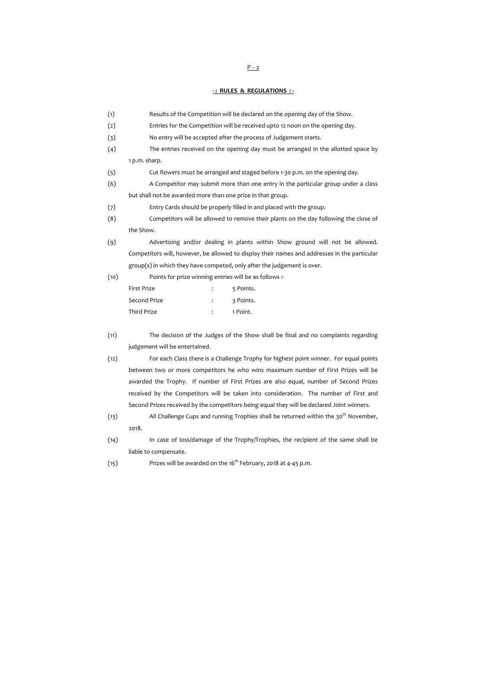### **‐ : RULES & REGULATIONS : ‐**

- (11) The decision of the Judges of the Show shall be final and no complaints regarding judgement will be entertained.
- (12) For each Class there is a Challenge Trophy for highest point winner. For equal points between two or more competitors he who wins maximum number of First Prizes will be awarded the Trophy. If number of First Prizes are also equal, number of Second Prizes received by the Competitors will be taken into consideration. The number of First and Second Prizes received by the competitors being equal they will be declared Joint winners.
- (13) All Challenge Cups and running Trophies shall be returned within the  $30^{th}$  November, 2018.
- (14) In case of loss/damage of the Trophy/Trophies, the recipient of the same shall be liable to compensate.
- (15) Prizes will be awarded on the 16<sup>th</sup> February, 2018 at 4-45 p.m.

 $P - 2$ 

| (1)  | Results of the Competition will be declared on the opening day of the Show.                  |  |
|------|----------------------------------------------------------------------------------------------|--|
| (2)  | Entries for the Competition will be received upto 12 noon on the opening day.                |  |
| (3)  | No entry will be accepted after the process of Judgement starts.                             |  |
| (4)  | The entries received on the opening day must be arranged in the allotted space by            |  |
|      | 1 p.m. sharp.                                                                                |  |
| (5)  | Cut flowers must be arranged and staged before 1-30 p.m. on the opening day.                 |  |
| (6)  | A Competitor may submit more than one entry in the particular group under a class            |  |
|      | but shall not be awarded more than one prize in that group.                                  |  |
| (7)  | Entry Cards should be properly filled in and placed with the group.                          |  |
| (8)  | Competitors will be allowed to remove their plants on the day following the close of         |  |
|      | the Show.                                                                                    |  |
| (9)  | Advertising and/or dealing in plants within Show ground will not be allowed.                 |  |
|      | Competitors will, however, be allowed to display their names and addresses in the particular |  |
|      | group(s) in which they have competed, only after the judgement is over.                      |  |
| (10) | Points for prize winning entries will be as follows :-                                       |  |
|      | First Prize<br>5 Points.                                                                     |  |
|      | Second Prize<br>3 Points.                                                                    |  |
|      | <b>Third Prize</b><br>1 Point.                                                               |  |
|      |                                                                                              |  |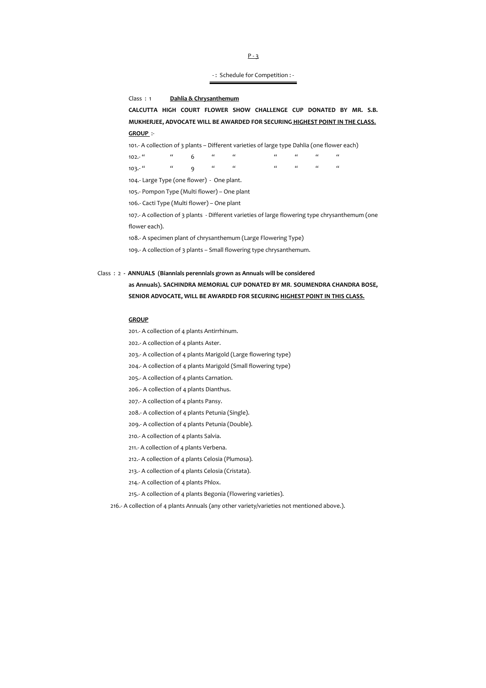‐ : Schedule for Competition : ‐

#### Class : 1 **Dahlia & Chrysanthemum**

**CALCUTTA HIGH COURT FLOWER SHOW CHALLENGE CUP DONATED BY MR. S.B. MUKHERJEE, ADVOCATE WILL BE AWARDED FOR SECURING HIGHEST POINT IN THE CLASS. GROUP** :‐

101.‐ A collection of 3 plants – Different varieties of large type Dahlia (one flower each)

102.<sup>…</sup> " 6 " " " " " " " "  $103.5$   $u$   $u$   $g$   $u$   $u$   $u$   $u$   $u$   $u$   $u$ 

104.- Large Type (one flower) - One plant.

105.‐ Pompon Type (Multi flower) – One plant

106.‐ Cacti Type (Multi flower) – One plant

107.‐ A collection of 3 plants ‐ Different varieties of large flowering type chrysanthemum (one flower each).

108.‐ A specimen plant of chrysanthemum (Large Flowering Type)

109.‐ A collection of 3 plants – Small flowering type chrysanthemum.

## Class : 2 **‐ ANNUALS (Biannials perennials grown as Annuals will be considered**

# **as Annuals). SACHINDRA MEMORIAL CUP DONATED BY MR**. **SOUMENDRA CHANDRA BOSE, SENIOR ADVOCATE, WILL BE AWARDED FOR SECURING HIGHEST POINT IN THIS CLASS.**

#### **GROUP**

- 201.‐ A collection of 4 plants Antirrhinum.
- 202.‐ A collection of 4 plants Aster.
- 203.‐ A collection of 4 plants Marigold (Large flowering type)
- 204.‐ A collection of 4 plants Marigold (Small flowering type)
- 205.‐ A collection of 4 plants Carnation.
- 206.‐ A collection of 4 plants Dianthus.
- 207.‐ A collection of 4 plants Pansy.
- 208.‐ A collection of 4 plants Petunia (Single).
- 209.‐ A collection of 4 plants Petunia (Double).
- 210.‐ A collection of 4 plants Salvia.
- 211.‐ A collection of 4 plants Verbena.
- 212.‐ A collection of 4 plants Celosia (Plumosa).
- 213.‐ A collection of 4 plants Celosia (Cristata).
- 214.‐ A collection of 4 plants Phlox.
- 215.‐ A collection of 4 plants Begonia (Flowering varieties).

216.- A collection of 4 plants Annuals (any other variety/varieties not mentioned above.).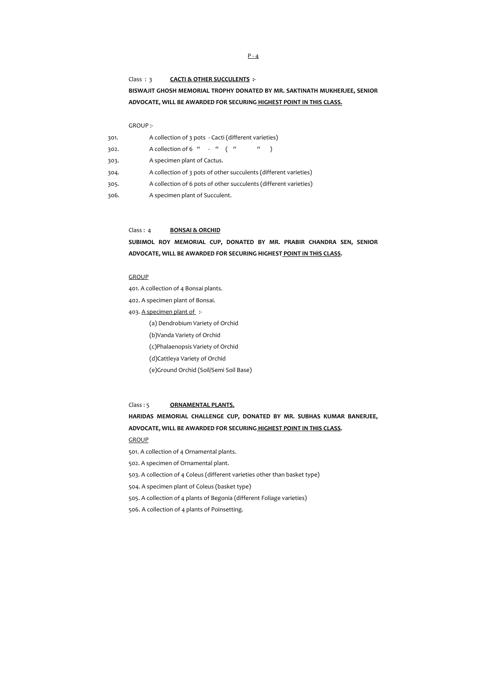#### Class : 3 **CACTI & OTHER SUCCULENTS :‐**

# **BISWAJIT GHOSH MEMORIAL TROPHY DONATED BY MR. SAKTINATH MUKHERJEE, SENIOR ADVOCATE, WILL BE AWARDED FOR SECURING HIGHEST POINT IN THIS CLASS.**

#### GROUP :‐

| 301. | A collection of 3 pots - Cacti (different varieties)                                        |
|------|---------------------------------------------------------------------------------------------|
| 302. | A collection of 6 " - " ("<br>$\left( \begin{array}{cc} a & b \\ c & d \end{array} \right)$ |
| 303. | A specimen plant of Cactus.                                                                 |
| 304. | A collection of 3 pots of other succulents (different varieties)                            |
| 305. | A collection of 6 pots of other succulents (different varieties)                            |
| 306. | A specimen plant of Succulent.                                                              |

- 403. A specimen plant of :-
	- (a) Dendrobium Variety of Orchid
	- (b)Vanda Variety of Orchid
	- (c)Phalaenopsis Variety of Orchid
	- (d)Cattleya Variety of Orchid
	- (e)Ground Orchid (Soil/Semi Soil Base)

#### Class : 4 **BONSAI & ORCHID**

# **SUBIMOL ROY MEMORIAL CUP, DONATED BY MR. PRABIR CHANDRA SEN, SENIOR ADVOCATE, WILL BE AWARDED FOR SECURING HIGHEST POINT IN THIS CLASS.**

#### **GROUP**

401. A collection of 4 Bonsai plants.

402. A specimen plant of Bonsai.

#### Class : 5 **ORNAMENTAL PLANTS.**

## **HARIDAS MEMORIAL CHALLENGE CUP, DONATED BY MR. SUBHAS KUMAR BANERJEE,**

### **ADVOCATE, WILL BE AWARDED FOR SECURING HIGHEST POINT IN THIS CLASS.**

#### **GROUP**

- 501. A collection of 4 Ornamental plants.
- 502. A specimen of Ornamental plant.
- 503. A collection of 4 Coleus (different varieties other than basket type)
- 504. A specimen plant of Coleus (basket type)
- 505. A collection of 4 plants of Begonia (different Foliage varieties)
- 506. A collection of 4 plants of Poinsetting.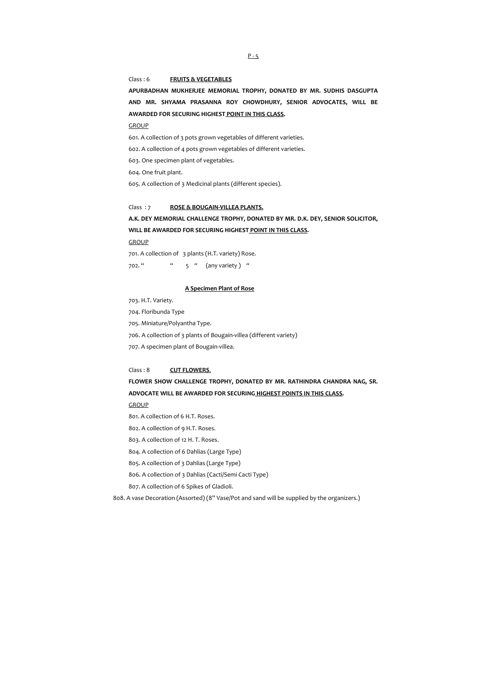### Class : 6 **FRUITS & VEGETABLES**

**APURBADHAN MUKHERJEE MEMORIAL TROPHY, DONATED BY MR. SUDHIS DASGUPTA AND MR. SHYAMA PRASANNA ROY CHOWDHURY, SENIOR ADVOCATES, WILL BE AWARDED FOR SECURING HIGHEST POINT IN THIS CLASS.**

**GROUP** 

601. A collection of 3 pots grown vegetables of different varieties.

602. A collection of 4 pots grown vegetables of different varieties.

603. One specimen plant of vegetables.

604. One fruit plant.

605. A collection of 3 Medicinal plants (different species).

#### Class : 7 **ROSE & BOUGAIN‐VILLEA PLANTS.**

**A.K. DEY MEMORIAL CHALLENGE TROPHY, DONATED BY MR. D.K. DEY, SENIOR SOLICITOR, WILL BE AWARDED FOR SECURING HIGHEST POINT IN THIS CLASS.**

**GROUP** 

701. A collection of 3 plants (H.T. variety) Rose.

 $702.^{\prime\prime}$   $\qquad$   $\qquad$   $\qquad$   $\qquad$   $\qquad$   $\qquad$   $\qquad$   $\qquad$   $\qquad$   $\qquad$   $\qquad$   $\qquad$   $\qquad$   $\qquad$   $\qquad$   $\qquad$   $\qquad$   $\qquad$   $\qquad$   $\qquad$   $\qquad$   $\qquad$   $\qquad$   $\qquad$   $\qquad$   $\qquad$   $\qquad$   $\qquad$   $\qquad$   $\qquad$   $\qquad$   $\qquad$   $\qquad$   $\qquad$   $\qquad$ 

#### **A Specimen Plant of Rose**

703. H.T. Variety.

704. Floribunda Type

705. Miniature/Polyantha Type.

706. A collection of 3 plants of Bougain‐villea (different variety)

707. A specimen plant of Bougain‐villea.

#### Class : 8 **CUT FLOWERS**.

**FLOWER SHOW CHALLENGE TROPHY, DONATED BY MR. RATHINDRA CHANDRA NAG, SR.**

**ADVOCATE WILL BE AWARDED FOR SECURING HIGHEST POINTS IN THIS CLASS.**

**GROUP** 

801. A collection of 6 H.T. Roses.

802. A collection of 9 H.T. Roses.

803. A collection of 12 H. T. Roses.

804. A collection of 6 Dahlias (Large Type)

805. A collection of 3 Dahlias (Large Type)

806. A collection of 3 Dahlias (Cacti/Semi Cacti Type)

807. A collection of 6 Spikes of Gladioli.

808. A vase Decoration (Assorted) (8" Vase/Pot and sand will be supplied by the organizers.)